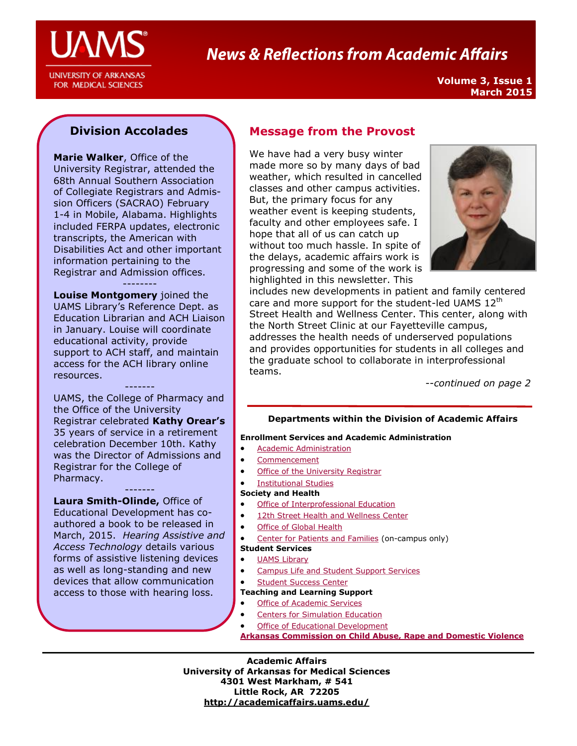

# **News & Reflections from Academic Affairs**

**Volume 3, Issue 1 March 2015**

### **Division Accolades**

**Marie Walker**, Office of the University Registrar, attended the 68th Annual Southern Association of Collegiate Registrars and Admission Officers (SACRAO) February 1-4 in Mobile, Alabama. Highlights included FERPA updates, electronic transcripts, the American with Disabilities Act and other important information pertaining to the Registrar and Admission offices.

### --------

**Louise Montgomery** joined the UAMS Library's Reference Dept. as Education Librarian and ACH Liaison in January. Louise will coordinate educational activity, provide support to ACH staff, and maintain access for the ACH library online resources.

------- UAMS, the College of Pharmacy and the Office of the University Registrar celebrated **Kathy Orear's**  35 years of service in a retirement celebration December 10th. Kathy was the Director of Admissions and Registrar for the College of Pharmacy.

-------

**Laura Smith-Olinde,** Office of Educational Development has coauthored a book to be released in March, 2015. *Hearing Assistive and Access Technology* details various forms of assistive listening devices as well as long-standing and new devices that allow communication access to those with hearing loss.

### **Message from the Provost**

We have had a very busy winter made more so by many days of bad weather, which resulted in cancelled classes and other campus activities. But, the primary focus for any weather event is keeping students, faculty and other employees safe. I hope that all of us can catch up without too much hassle. In spite of the delays, academic affairs work is progressing and some of the work is highlighted in this newsletter. This



includes new developments in patient and family centered care and more support for the student-led UAMS 12<sup>th</sup> Street Health and Wellness Center. This center, along with the North Street Clinic at our Fayetteville campus, addresses the health needs of underserved populations and provides opportunities for students in all colleges and the graduate school to collaborate in interprofessional teams.

--*continued on page 2* 

### **Departments within the Division of Academic Affairs**

### **Enrollment Services and Academic Administration**

- [Academic Administration](http://academicaffairs.uams.edu/academic-support-and-services/institutional-studies/)
- [Commencement](http://commencement.uams.edu/)
- **[Office of the University Registrar](http://registrar.uams.edu)**
- **•** [Institutional Studies](http://academicaffairs.uams.edu/academic-support-and-services/institutional-studies/office-of-institutional-studies/)

### **Society and Health**

- **•** [Office of Interprofessional Education](http://ipe.uams.edu/)
- [12th Street Health and Wellness Center](http://healthon12th.uams.edu/)
- [Office of Global Health](http://ogh.uams.edu/)
- [Center for Patients and Families](http://inside.uams.edu/pfcc/) (on-campus only)

### **Student Services**

- [UAMS Library](http://library.uams.edu/)
- [Campus Life and Student Support Services](http://studentlife.uams.edu/)
- [Student Success Center](http://library.uams.edu/library-info/aassc/)

### **Teaching and Learning Support**

- **[Office of Academic Services](http://oas.uams.edu/)**
- [Centers for Simulation Education](http://medicalsim.uams.edu/)
- [Office of Educational Development](http://www.uams.edu/oed/)

**[Arkansas Commission on Child Abuse, Rape and Domestic Violence](http://accardv.uams.edu/)**

**Academic Affairs University of Arkansas for Medical Sciences 4301 West Markham, # 541 Little Rock, AR 72205 <http://academicaffairs.uams.edu/>**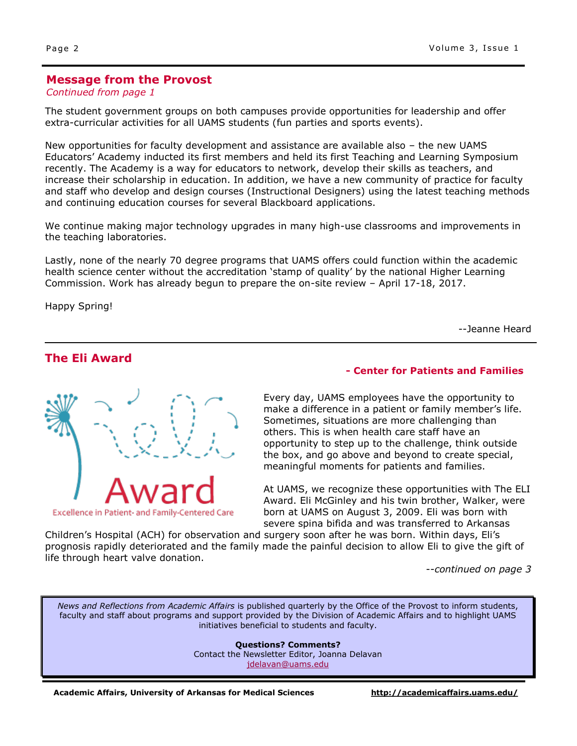### **Message from the Provost**

### *Continued from page 1*

The student government groups on both campuses provide opportunities for leadership and offer extra-curricular activities for all UAMS students (fun parties and sports events).

New opportunities for faculty development and assistance are available also – the new UAMS Educators' Academy inducted its first members and held its first Teaching and Learning Symposium recently. The Academy is a way for educators to network, develop their skills as teachers, and increase their scholarship in education. In addition, we have a new community of practice for faculty and staff who develop and design courses (Instructional Designers) using the latest teaching methods and continuing education courses for several Blackboard applications.

We continue making major technology upgrades in many high-use classrooms and improvements in the teaching laboratories.

Lastly, none of the nearly 70 degree programs that UAMS offers could function within the academic health science center without the accreditation 'stamp of quality' by the national Higher Learning Commission. Work has already begun to prepare the on-site review – April 17-18, 2017.

Happy Spring!

--Jeanne Heard

### **The Eli Award**



### **- Center for Patients and Families**

Every day, UAMS employees have the opportunity to make a difference in a patient or family member's life. Sometimes, situations are more challenging than others. This is when health care staff have an opportunity to step up to the challenge, think outside the box, and go above and beyond to create special, meaningful moments for patients and families.

At UAMS, we recognize these opportunities with The ELI Award. Eli McGinley and his twin brother, Walker, were born at UAMS on August 3, 2009. Eli was born with severe spina bifida and was transferred to Arkansas

Children's Hospital (ACH) for observation and surgery soon after he was born. Within days, Eli's prognosis rapidly deteriorated and the family made the painful decision to allow Eli to give the gift of life through heart valve donation.

--*continued on page 3*

*News and Reflections from Academic Affairs* is published quarterly by the Office of the Provost to inform students, faculty and staff about programs and support provided by the Division of Academic Affairs and to highlight UAMS initiatives beneficial to students and faculty.

> **Questions? Comments?** Contact the Newsletter Editor, Joanna Delavan [jdelavan@uams.edu](mailto:jdelavan@uams.edu)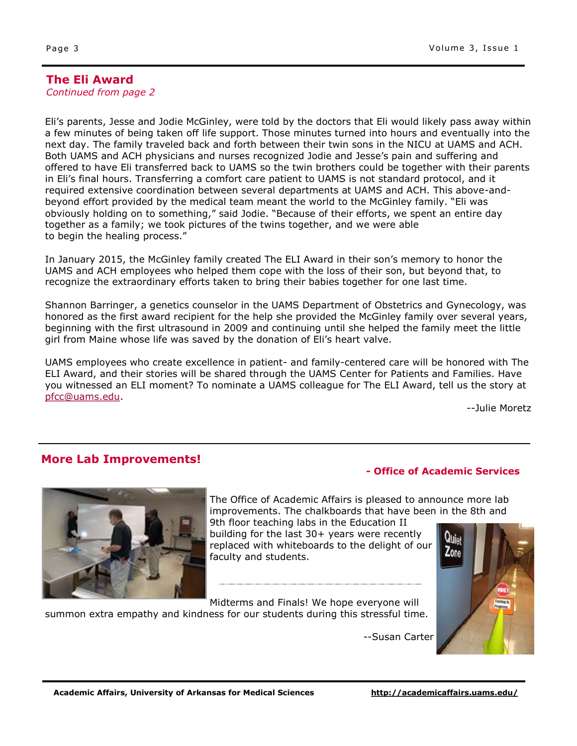### **The Eli Award**

*Continued from page 2*

Eli's parents, Jesse and Jodie McGinley, were told by the doctors that Eli would likely pass away within a few minutes of being taken off life support. Those minutes turned into hours and eventually into the next day. The family traveled back and forth between their twin sons in the NICU at UAMS and ACH. Both UAMS and ACH physicians and nurses recognized Jodie and Jesse's pain and suffering and offered to have Eli transferred back to UAMS so the twin brothers could be together with their parents in Eli's final hours. Transferring a comfort care patient to UAMS is not standard protocol, and it required extensive coordination between several departments at UAMS and ACH. This above-andbeyond effort provided by the medical team meant the world to the McGinley family. "Eli was obviously holding on to something," said Jodie. "Because of their efforts, we spent an entire day together as a family; we took pictures of the twins together, and we were able to begin the healing process."

In January 2015, the McGinley family created The ELI Award in their son's memory to honor the UAMS and ACH employees who helped them cope with the loss of their son, but beyond that, to recognize the extraordinary efforts taken to bring their babies together for one last time.

Shannon Barringer, a genetics counselor in the UAMS Department of Obstetrics and Gynecology, was honored as the first award recipient for the help she provided the McGinley family over several years, beginning with the first ultrasound in 2009 and continuing until she helped the family meet the little girl from Maine whose life was saved by the donation of Eli's heart valve.

UAMS employees who create excellence in patient- and family-centered care will be honored with The ELI Award, and their stories will be shared through the UAMS Center for Patients and Families. Have you witnessed an ELI moment? To nominate a UAMS colleague for The ELI Award, tell us the story at [pfcc@uams.edu.](mailto:pfcc@uams.edu?subject=Eli%20Award)

--Julie Moretz

### **More Lab Improvements!**



The Office of Academic Affairs is pleased to announce more lab improvements. The chalkboards that have been in the 8th and

9th floor teaching labs in the Education II building for the last 30+ years were recently replaced with whiteboards to the delight of our faculty and students.

Midterms and Finals! We hope everyone will

summon extra empathy and kindness for our students during this stressful time.

--Susan Carter

**- Office of Academic Services**

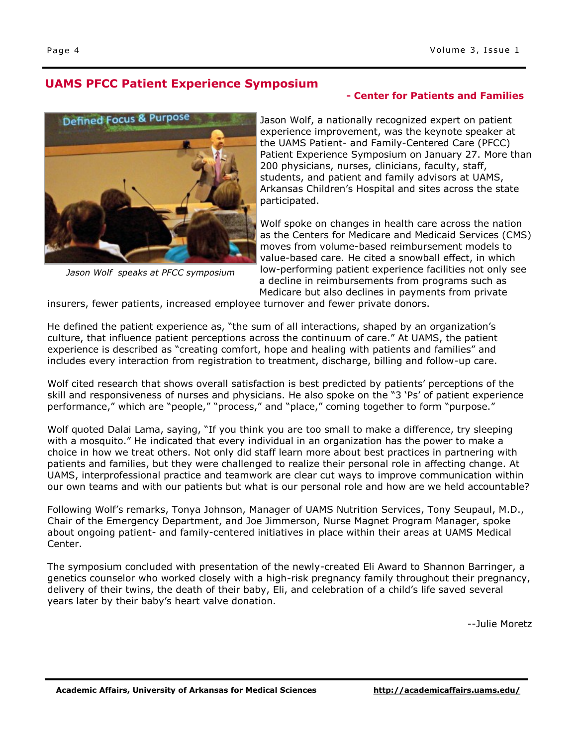## **UAMS PFCC Patient Experience Symposium**

# **Defined Focus & Purpose**

*Jason Wolf speaks at PFCC symposium*

### **- Center for Patients and Families**

Jason Wolf, a nationally recognized expert on patient experience improvement, was the keynote speaker at the UAMS Patient- and Family-Centered Care (PFCC) Patient Experience Symposium on January 27. More than 200 physicians, nurses, clinicians, faculty, staff, students, and patient and family advisors at UAMS, Arkansas Children's Hospital and sites across the state participated.

Wolf spoke on changes in health care across the nation as the Centers for Medicare and Medicaid Services (CMS) moves from volume-based reimbursement models to value-based care. He cited a snowball effect, in which low-performing patient experience facilities not only see a decline in reimbursements from programs such as Medicare but also declines in payments from private

insurers, fewer patients, increased employee turnover and fewer private donors.

He defined the patient experience as, "the sum of all interactions, shaped by an organization's culture, that influence patient perceptions across the continuum of care." At UAMS, the patient experience is described as "creating comfort, hope and healing with patients and families" and includes every interaction from registration to treatment, discharge, billing and follow-up care.

Wolf cited research that shows overall satisfaction is best predicted by patients' perceptions of the skill and responsiveness of nurses and physicians. He also spoke on the "3 'Ps' of patient experience performance," which are "people," "process," and "place," coming together to form "purpose."

Wolf quoted Dalai Lama, saying, "If you think you are too small to make a difference, try sleeping with a mosquito." He indicated that every individual in an organization has the power to make a choice in how we treat others. Not only did staff learn more about best practices in partnering with patients and families, but they were challenged to realize their personal role in affecting change. At UAMS, interprofessional practice and teamwork are clear cut ways to improve communication within our own teams and with our patients but what is our personal role and how are we held accountable?

Following Wolf's remarks, Tonya Johnson, Manager of UAMS Nutrition Services, Tony Seupaul, M.D., Chair of the Emergency Department, and Joe Jimmerson, Nurse Magnet Program Manager, spoke about ongoing patient- and family-centered initiatives in place within their areas at UAMS Medical Center.

The symposium concluded with presentation of the newly-created Eli Award to Shannon Barringer, a genetics counselor who worked closely with a high-risk pregnancy family throughout their pregnancy, delivery of their twins, the death of their baby, Eli, and celebration of a child's life saved several years later by their baby's heart valve donation.

--Julie Moretz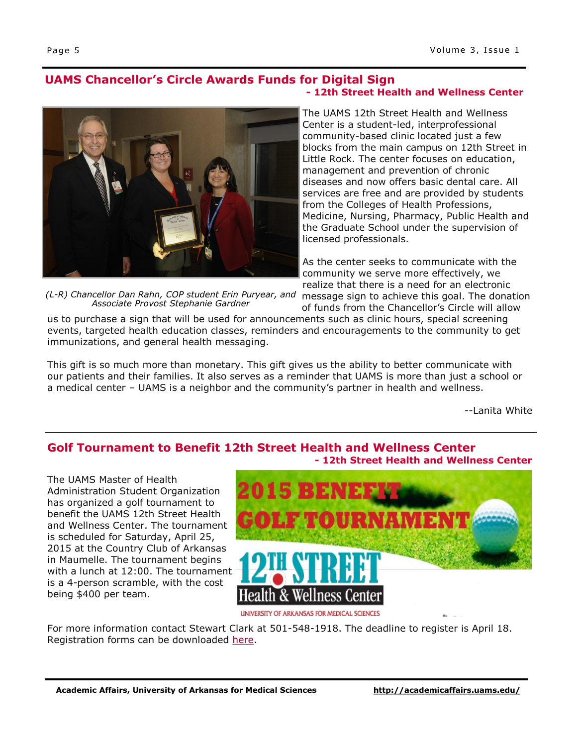# **UAMS Chancellor's Circle Awards Funds for Digital Sign**



*(L-R) Chancellor Dan Rahn, COP student Erin Puryear, and Associate Provost Stephanie Gardner*

# **- Office of Academic Services - 12th Street Health and Wellness Center**

The UAMS 12th Street Health and Wellness Center is a student-led, interprofessional community-based clinic located just a few blocks from the main campus on 12th Street in Little Rock. The center focuses on education, management and prevention of chronic diseases and now offers basic dental care. All services are free and are provided by students from the Colleges of Health Professions, Medicine, Nursing, Pharmacy, Public Health and the Graduate School under the supervision of licensed professionals.

As the center seeks to communicate with the community we serve more effectively, we realize that there is a need for an electronic

message sign to achieve this goal. The donation of funds from the Chancellor's Circle will allow

us to purchase a sign that will be used for announcements such as clinic hours, special screening events, targeted health education classes, reminders and encouragements to the community to get immunizations, and general health messaging.

This gift is so much more than monetary. This gift gives us the ability to better communicate with our patients and their families. It also serves as a reminder that UAMS is more than just a school or a medical center – UAMS is a neighbor and the community's partner in health and wellness.

--Lanita White

### **Golf Tournament to Benefit 12th Street Health and Wellness Center - 12th Street Health and Wellness Center**

The UAMS Master of Health Administration Student Organization has organized a golf tournament to benefit the UAMS 12th Street Health and Wellness Center. The tournament is scheduled for Saturday, April 25, 2015 at the Country Club of Arkansas in Maumelle. The tournament begins with a lunch at 12:00. The tournament is a 4-person scramble, with the cost being \$400 per team.



UNIVERSITY OF ARKANSAS FOR MEDICAL SCIENCES

For more information contact Stewart Clark at 501-548-1918. The deadline to register is April 18. Registration forms can be downloaded [here.](http://academicaffairs.uamsonline.com/files/2015/03/2015_MHA_Golf_Tournanment_Registration_Form.pdf)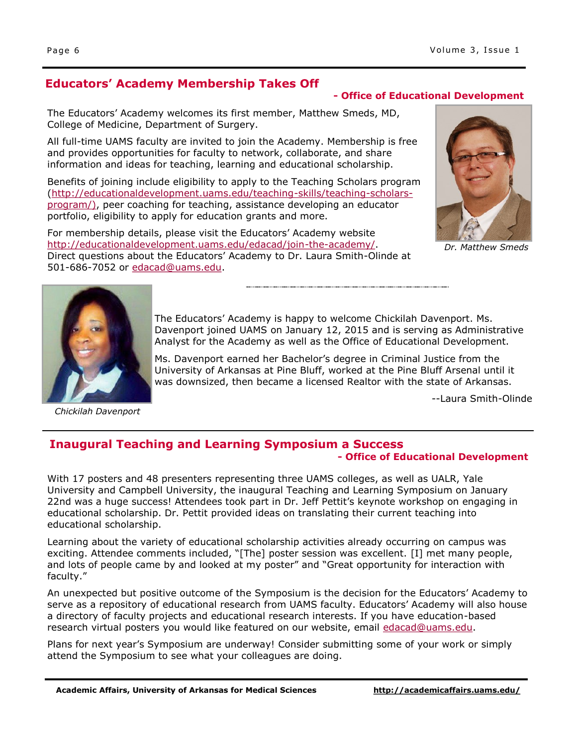### **Educators' Academy Membership Takes Off**

### **- Office of Educational Development**

The Educators' Academy welcomes its first member, Matthew Smeds, MD, College of Medicine, Department of Surgery.

All full-time UAMS faculty are invited to join the Academy. Membership is free and provides opportunities for faculty to network, collaborate, and share information and ideas for teaching, learning and educational scholarship.

Benefits of joining include eligibility to apply to the Teaching Scholars program ([http://educationaldevelopment.uams.edu/teaching-skills/teaching-scholars](http://educationaldevelopment.uams.edu/teaching-skills/teaching-scholars-program/)[program/\),](http://educationaldevelopment.uams.edu/teaching-skills/teaching-scholars-program/) peer coaching for teaching, assistance developing an educator portfolio, eligibility to apply for education grants and more.

For membership details, please visit the Educators' Academy website [http://educationaldevelopment.uams.edu/edacad/join-the-academy/.](http://educationaldevelopment.uams.edu/edacad/join-the-academy/)  Direct questions about the Educators' Academy to Dr. Laura Smith-Olinde at 501-686-7052 or [edacad@uams.edu.](mailto:edacad@uams.edu) 



*Dr. Matthew Smeds*



*Chickilah Davenport*

The Educators' Academy is happy to welcome Chickilah Davenport. Ms. Davenport joined UAMS on January 12, 2015 and is serving as Administrative Analyst for the Academy as well as the Office of Educational Development.

Ms. Davenport earned her Bachelor's degree in Criminal Justice from the University of Arkansas at Pine Bluff, worked at the Pine Bluff Arsenal until it was downsized, then became a licensed Realtor with the state of Arkansas.

--Laura Smith-Olinde

### **Inaugural Teaching and Learning Symposium a Success - Office of Educational Development**

With 17 posters and 48 presenters representing three UAMS colleges, as well as UALR, Yale University and Campbell University, the inaugural Teaching and Learning Symposium on January 22nd was a huge success! Attendees took part in Dr. Jeff Pettit's keynote workshop on engaging in educational scholarship. Dr. Pettit provided ideas on translating their current teaching into educational scholarship.

Learning about the variety of educational scholarship activities already occurring on campus was exciting. Attendee comments included, "[The] poster session was excellent. [I] met many people, and lots of people came by and looked at my poster" and "Great opportunity for interaction with faculty."

An unexpected but positive outcome of the Symposium is the decision for the Educators' Academy to serve as a repository of educational research from UAMS faculty. Educators' Academy will also house a directory of faculty projects and educational research interests. If you have education-based research virtual posters you would like featured on our website, email [edacad@uams.edu.](mailto:edacad@uams.edu)

Plans for next year's Symposium are underway! Consider submitting some of your work or simply attend the Symposium to see what your colleagues are doing.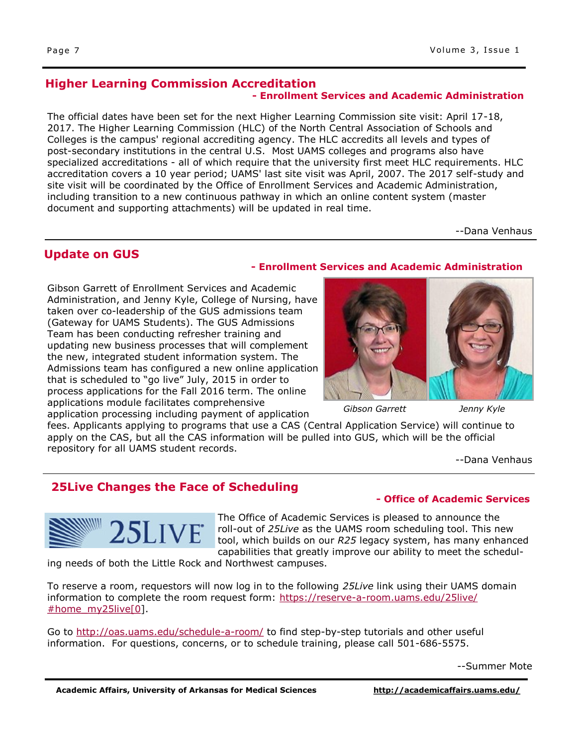### **Higher Learning Commission Accreditation - Enrollment Services and Academic Administration**

The official dates have been set for the next Higher Learning Commission site visit: April 17-18, 2017. The Higher Learning Commission (HLC) of the North Central Association of Schools and Colleges is the campus' regional accrediting agency. The HLC accredits all levels and types of post-secondary institutions in the central U.S. Most UAMS colleges and programs also have specialized accreditations - all of which require that the university first meet HLC requirements. HLC accreditation covers a 10 year period; UAMS' last site visit was April, 2007. The 2017 self-study and site visit will be coordinated by the Office of Enrollment Services and Academic Administration, including transition to a new continuous pathway in which an online content system (master document and supporting attachments) will be updated in real time.

--Dana Venhaus

### **Update on GUS**

**- Enrollment Services and Academic Administration**

Gibson Garrett of Enrollment Services and Academic Administration, and Jenny Kyle, College of Nursing, have taken over co-leadership of the GUS admissions team (Gateway for UAMS Students). The GUS Admissions Team has been conducting refresher training and updating new business processes that will complement the new, integrated student information system. The Admissions team has configured a new online application that is scheduled to "go live" July, 2015 in order to process applications for the Fall 2016 term. The online applications module facilitates comprehensive application processing including payment of application

*Gibson Garrett*

*Jenny Kyle*

fees. Applicants applying to programs that use a CAS (Central Application Service) will continue to apply on the CAS, but all the CAS information will be pulled into GUS, which will be the official repository for all UAMS student records.

--Dana Venhaus

## **25Live Changes the Face of Scheduling**



The Office of Academic Services is pleased to announce the roll-out of *25Live* as the UAMS room scheduling tool. This new tool, which builds on our *R25* legacy system, has many enhanced capabilities that greatly improve our ability to meet the schedul-

ing needs of both the Little Rock and Northwest campuses.

To reserve a room, requestors will now log in to the following *25Live* link using their UAMS domain information to complete the room request form: [https://reserve-a-room.uams.edu/25live/](https://reserve-a-room.uams.edu/25live/#home_my25live[0)  $#home$  my25live[0].

Go to<http://oas.uams.edu/schedule-a-room/> to find step-by-step tutorials and other useful information. For questions, concerns, or to schedule training, please call 501-686-5575.

--Summer Mote

**- Office of Academic Services**

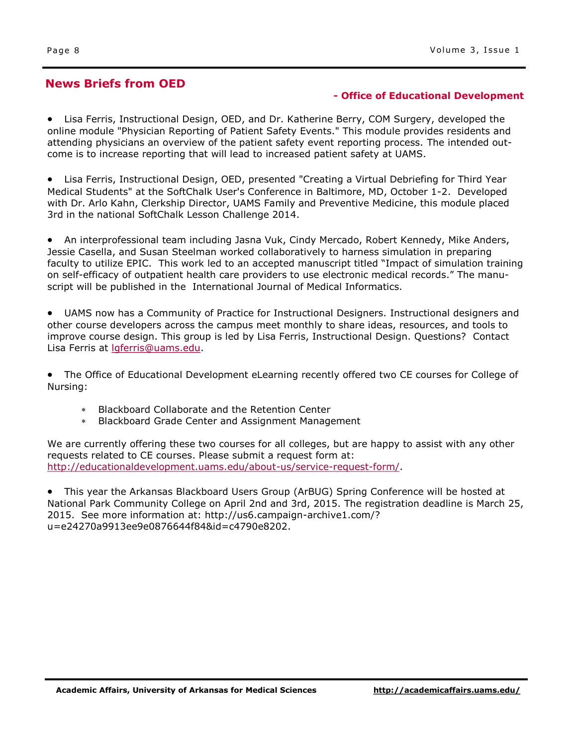### **News Briefs from OED**

### **- Office of Educational Development**

 Lisa Ferris, Instructional Design, OED, and Dr. Katherine Berry, COM Surgery, developed the online module "Physician Reporting of Patient Safety Events." This module provides residents and attending physicians an overview of the patient safety event reporting process. The intended outcome is to increase reporting that will lead to increased patient safety at UAMS.

 Lisa Ferris, Instructional Design, OED, presented "Creating a Virtual Debriefing for Third Year Medical Students" at the SoftChalk User's Conference in Baltimore, MD, October 1-2. Developed with Dr. Arlo Kahn, Clerkship Director, UAMS Family and Preventive Medicine, this module placed 3rd in the national SoftChalk Lesson Challenge 2014.

 An interprofessional team including Jasna Vuk, Cindy Mercado, Robert Kennedy, Mike Anders, Jessie Casella, and Susan Steelman worked collaboratively to harness simulation in preparing faculty to utilize EPIC. This work led to an accepted manuscript titled "Impact of simulation training on self-efficacy of outpatient health care providers to use electronic medical records." The manuscript will be published in the International Journal of Medical Informatics.

 UAMS now has a Community of Practice for Instructional Designers. Instructional designers and other course developers across the campus meet monthly to share ideas, resources, and tools to improve course design. This group is led by Lisa Ferris, Instructional Design. Questions? Contact Lisa Ferris at [lgferris@uams.edu.](mailto:lgferris@uams.edu)

 The Office of Educational Development eLearning recently offered two CE courses for College of Nursing:

- Blackboard Collaborate and the Retention Center
- Blackboard Grade Center and Assignment Management

We are currently offering these two courses for all colleges, but are happy to assist with any other requests related to CE courses. Please submit a request form at: [http://educationaldevelopment.uams.edu/about-us/service-request-form/.](http://educationaldevelopment.uams.edu/about-us/service-request-form/)

 This year the Arkansas Blackboard Users Group (ArBUG) Spring Conference will be hosted at National Park Community College on April 2nd and 3rd, 2015. The registration deadline is March 25, 2015. See more information at: http://us6.campaign-archive1.com/? u=e24270a9913ee9e0876644f84&id=c4790e8202.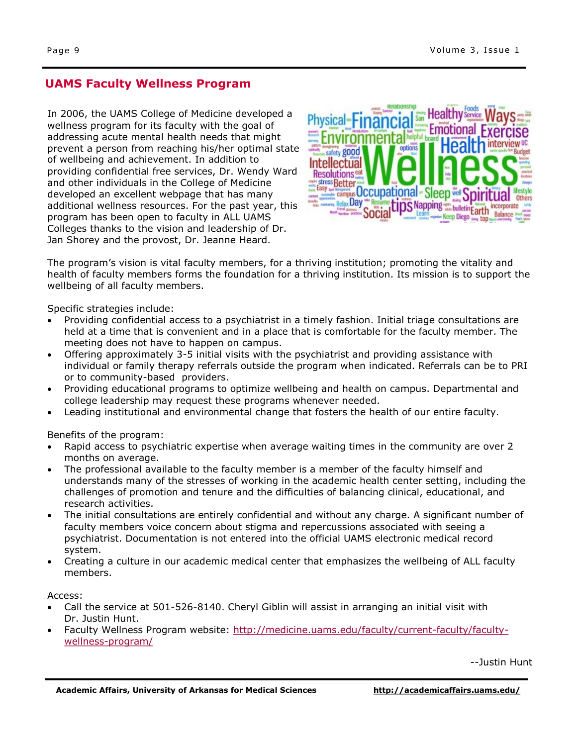### **UAMS Faculty Wellness Program**

In 2006, the UAMS College of Medicine developed a wellness program for its faculty with the goal of addressing acute mental health needs that might prevent a person from reaching his/her optimal state of wellbeing and achievement. In addition to providing confidential free services, Dr. Wendy Ward and other individuals in the College of Medicine developed an excellent webpage that has many additional wellness resources. For the past year, this program has been open to faculty in ALL UAMS Colleges thanks to the vision and leadership of Dr. Jan Shorey and the provost, Dr. Jeanne Heard.



The program's vision is vital faculty members, for a thriving institution; promoting the vitality and health of faculty members forms the foundation for a thriving institution. Its mission is to support the wellbeing of all faculty members.

Specific strategies include:

- Providing confidential access to a psychiatrist in a timely fashion. Initial triage consultations are held at a time that is convenient and in a place that is comfortable for the faculty member. The meeting does not have to happen on campus.
- Offering approximately 3-5 initial visits with the psychiatrist and providing assistance with individual or family therapy referrals outside the program when indicated. Referrals can be to PRI or to community-based providers.
- Providing educational programs to optimize wellbeing and health on campus. Departmental and college leadership may request these programs whenever needed.
- Leading institutional and environmental change that fosters the health of our entire faculty.

Benefits of the program:

- Rapid access to psychiatric expertise when average waiting times in the community are over 2 months on average.
- The professional available to the faculty member is a member of the faculty himself and understands many of the stresses of working in the academic health center setting, including the challenges of promotion and tenure and the difficulties of balancing clinical, educational, and research activities.
- The initial consultations are entirely confidential and without any charge. A significant number of faculty members voice concern about stigma and repercussions associated with seeing a psychiatrist. Documentation is not entered into the official UAMS electronic medical record system.
- Creating a culture in our academic medical center that emphasizes the wellbeing of ALL faculty members.

Access:

- Call the service at 501-526-8140. Cheryl Giblin will assist in arranging an initial visit with Dr. Justin Hunt.
- Faculty Wellness Program website: [http://medicine.uams.edu/faculty/current-faculty/faculty](http://medicine.uams.edu/faculty/current-faculty/faculty-wellness-program/)[wellness-program/](http://medicine.uams.edu/faculty/current-faculty/faculty-wellness-program/)

--Justin Hunt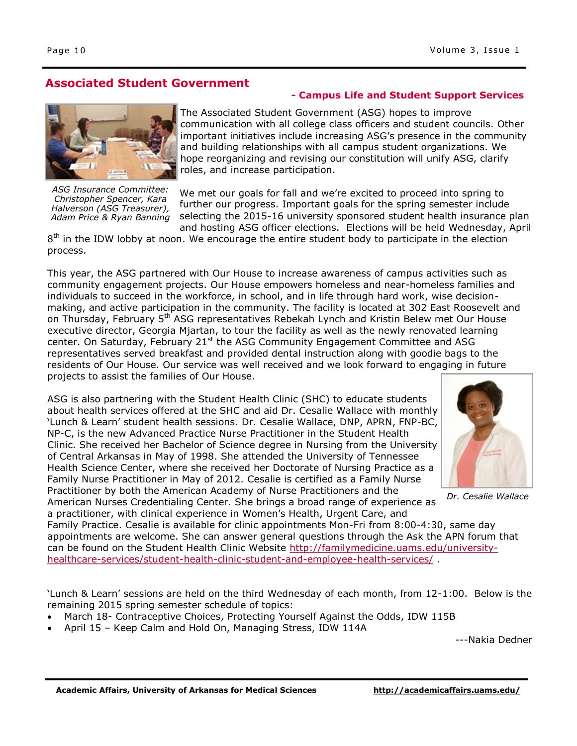**Associated Student Government**

The Associated Student Government (ASG) hopes to improve communication with all college class officers and student councils. Other important initiatives include increasing ASG's presence in the community and building relationships with all campus student organizations. We hope reorganizing and revising our constitution will unify ASG, clarify roles, and increase participation.

**- Campus Life and Student Support Services**

We met our goals for fall and we're excited to proceed into spring to further our progress. Important goals for the spring semester include selecting the 2015-16 university sponsored student health insurance plan and hosting ASG officer elections. Elections will be held Wednesday, April

 $8<sup>th</sup>$  in the IDW lobby at noon. We encourage the entire student body to participate in the election process.

This year, the ASG partnered with Our House to increase awareness of campus activities such as community engagement projects. Our House empowers homeless and near-homeless families and individuals to succeed in the workforce, in school, and in life through hard work, wise decisionmaking, and active participation in the community. The facility is located at 302 East Roosevelt and on Thursday, February 5<sup>th</sup> ASG representatives Rebekah Lynch and Kristin Belew met Our House executive director, Georgia Mjartan, to tour the facility as well as the newly renovated learning center. On Saturday, February 21<sup>st</sup> the ASG Community Engagement Committee and ASG representatives served breakfast and provided dental instruction along with goodie bags to the residents of Our House. Our service was well received and we look forward to engaging in future projects to assist the families of Our House.

ASG is also partnering with the Student Health Clinic (SHC) to educate students about health services offered at the SHC and aid Dr. Cesalie Wallace with monthly 'Lunch & Learn' student health sessions. Dr. Cesalie Wallace, DNP, APRN, FNP-BC, NP-C, is the new Advanced Practice Nurse Practitioner in the Student Health Clinic. She received her Bachelor of Science degree in Nursing from the University of Central Arkansas in May of 1998. She attended the University of Tennessee Health Science Center, where she received her Doctorate of Nursing Practice as a Family Nurse Practitioner in May of 2012. Cesalie is certified as a Family Nurse Practitioner by both the American Academy of Nurse Practitioners and the

```
American Nurses Credentialing Center. She brings a broad range of experience as 
a practitioner, with clinical experience in Women's Health, Urgent Care, and
```
Family Practice. Cesalie is available for clinic appointments Mon-Fri from 8:00-4:30, same day appointments are welcome. She can answer general questions through the Ask the APN forum that can be found on the Student Health Clinic Website [http://familymedicine.uams.edu/university](http://familymedicine.uams.edu/university-healthcare-services/student-health-clinic-student-and-employee-health-services/)[healthcare-services/student-health-clinic-student-and-employee-health-services/](http://familymedicine.uams.edu/university-healthcare-services/student-health-clinic-student-and-employee-health-services/) .

'Lunch & Learn' sessions are held on the third Wednesday of each month, from 12-1:00. Below is the remaining 2015 spring semester schedule of topics:

- March 18- Contraceptive Choices, Protecting Yourself Against the Odds, IDW 115B
- April 15 Keep Calm and Hold On, Managing Stress, IDW 114A

---Nakia Dedner





*ASG Insurance Committee: Christopher Spencer, Kara Halverson (ASG Treasurer), Adam Price & Ryan Banning* 

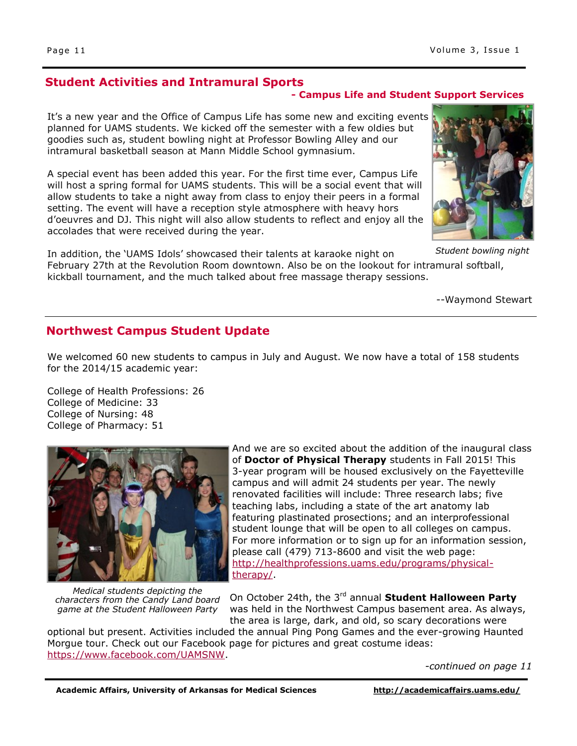### **Student Activities and Intramural Sports**

### **- Campus Life and Student Support Services**

It's a new year and the Office of Campus Life has some new and exciting events planned for UAMS students. We kicked off the semester with a few oldies but goodies such as, student bowling night at Professor Bowling Alley and our intramural basketball season at Mann Middle School gymnasium.

A special event has been added this year. For the first time ever, Campus Life will host a spring formal for UAMS students. This will be a social event that will allow students to take a night away from class to enjoy their peers in a formal setting. The event will have a reception style atmosphere with heavy hors d'oeuvres and DJ. This night will also allow students to reflect and enjoy all the accolades that were received during the year.

In addition, the 'UAMS Idols' showcased their talents at karaoke night on February 27th at the Revolution Room downtown. Also be on the lookout for intramural softball, kickball tournament, and the much talked about free massage therapy sessions. *Student bowling night*

--Waymond Stewart

### **Northwest Campus Student Update**

We welcomed 60 new students to campus in July and August. We now have a total of 158 students for the 2014/15 academic year:

College of Health Professions: 26 College of Medicine: 33 College of Nursing: 48 College of Pharmacy: 51

*Medical students depicting the characters from the Candy Land board game at the Student Halloween Party* 

And we are so excited about the addition of the inaugural class of **Doctor of Physical Therapy** students in Fall 2015! This 3-year program will be housed exclusively on the Fayetteville campus and will admit 24 students per year. The newly renovated facilities will include: Three research labs; five teaching labs, including a state of the art anatomy lab featuring plastinated prosections; and an interprofessional student lounge that will be open to all colleges on campus. For more information or to sign up for an information session, please call (479) 713-8600 and visit the web page: [http://healthprofessions.uams.edu/programs/physical](http://healthprofessions.uams.edu/programs/physical-therapy/)[therapy/.](http://healthprofessions.uams.edu/programs/physical-therapy/)

On October 24th, the 3rd annual **Student Halloween Party** was held in the Northwest Campus basement area. As always, the area is large, dark, and old, so scary decorations were

optional but present. Activities included the annual Ping Pong Games and the ever-growing Haunted Morgue tour. Check out our Facebook page for pictures and great costume ideas: [https://www.facebook.com/UAMSNW.](https://www.facebook.com/UAMSNW)

*-continued on page 11*



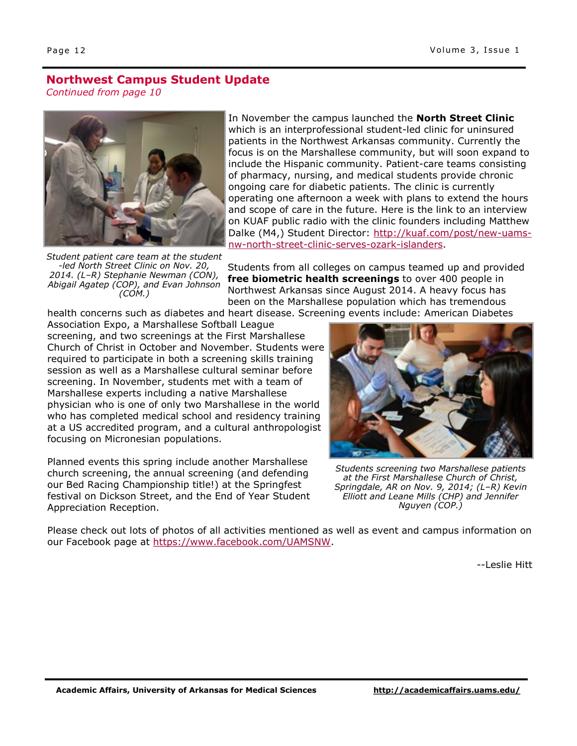### **Northwest Campus Student Update** *Continued from page 10*



*Student patient care team at the student -led North Street Clinic on Nov. 20, 2014. (L–R) Stephanie Newman (CON), Abigail Agatep (COP), and Evan Johnson (COM.)* 

In November the campus launched the **North Street Clinic** which is an interprofessional student-led clinic for uninsured patients in the Northwest Arkansas community. Currently the focus is on the Marshallese community, but will soon expand to include the Hispanic community. Patient-care teams consisting of pharmacy, nursing, and medical students provide chronic ongoing care for diabetic patients. The clinic is currently operating one afternoon a week with plans to extend the hours and scope of care in the future. Here is the link to an interview on KUAF public radio with the clinic founders including Matthew Dalke (M4,) Student Director: [http://kuaf.com/post/new-uams](http://kuaf.com/post/new-uams-nw-north-street-clinic-serves-ozark-islanders#.VLQ6GXxfoAA.email)[nw-north-street-clinic-serves-ozark-islanders.](http://kuaf.com/post/new-uams-nw-north-street-clinic-serves-ozark-islanders#.VLQ6GXxfoAA.email)

Students from all colleges on campus teamed up and provided **free biometric health screenings** to over 400 people in Northwest Arkansas since August 2014. A heavy focus has been on the Marshallese population which has tremendous health concerns such as diabetes and heart disease. Screening events include: American Diabetes

Association Expo, a Marshallese Softball League screening, and two screenings at the First Marshallese Church of Christ in October and November. Students were required to participate in both a screening skills training session as well as a Marshallese cultural seminar before screening. In November, students met with a team of Marshallese experts including a native Marshallese physician who is one of only two Marshallese in the world who has completed medical school and residency training at a US accredited program, and a cultural anthropologist focusing on Micronesian populations.

Planned events this spring include another Marshallese church screening, the annual screening (and defending our Bed Racing Championship title!) at the Springfest festival on Dickson Street, and the End of Year Student Appreciation Reception.



*Students screening two Marshallese patients at the First Marshallese Church of Christ, Springdale, AR on Nov. 9, 2014; (L–R) Kevin Elliott and Leane Mills (CHP) and Jennifer Nguyen (COP.)* 

Please check out lots of photos of all activities mentioned as well as event and campus information on our Facebook page at [https://www.facebook.com/UAMSNW.](https://www.facebook.com/UAMSNW)

--Leslie Hitt